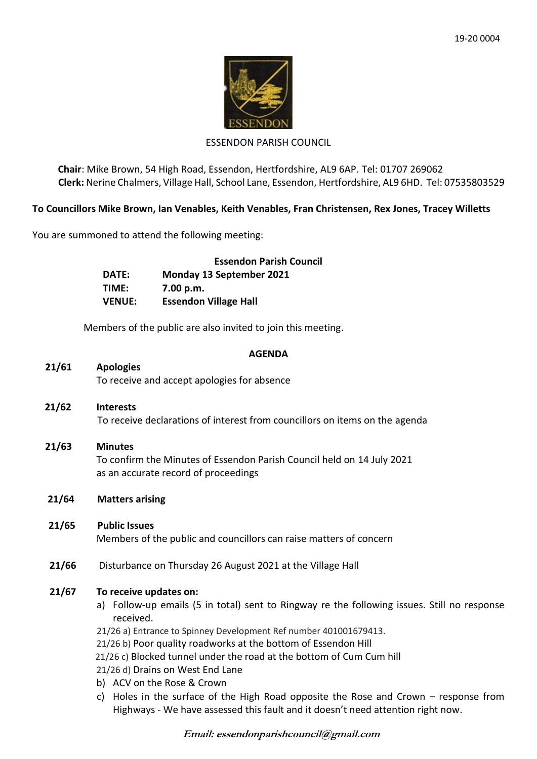

#### ESSENDON PARISH COUNCIL

**Chair**: Mike Brown, 54 High Road, Essendon, Hertfordshire, AL9 6AP. Tel: 01707 269062 **Clerk:** Nerine Chalmers, Village Hall, School Lane, Essendon, Hertfordshire, AL9 6HD. Tel: 07535803529

# **To Councillors Mike Brown, Ian Venables, Keith Venables, Fran Christensen, Rex Jones, Tracey Willetts**

You are summoned to attend the following meeting:

|               | <b>Essendon Parish Council</b>  |
|---------------|---------------------------------|
| DATE:         | <b>Monday 13 September 2021</b> |
| TIME:         | 7.00 p.m.                       |
| <b>VENUE:</b> | <b>Essendon Village Hall</b>    |

Members of the public are also invited to join this meeting.

#### **AGENDA**

# **21/61 Apologies**

To receive and accept apologies for absence

- **21/62 Interests** To receive declarations of interest from councillors on items on the agenda
- **21/63 Minutes** To confirm the Minutes of Essendon Parish Council held on 14 July 2021 as an accurate record of proceedings
- **21/64 Matters arising**
- **21/65 Public Issues** Members of the public and councillors can raise matters of concern
- **21/66** Disturbance on Thursday 26 August 2021 at the Village Hall

# **21/67 To receive updates on:**

a) Follow-up emails (5 in total) sent to Ringway re the following issues. Still no response received.

21/26 a) Entrance to Spinney Development Ref number 401001679413.

21/26 b) Poor quality roadworks at the bottom of Essendon Hill

- 21/26 c) Blocked tunnel under the road at the bottom of Cum Cum hill
- 21/26 d) Drains on West End Lane
- b) ACV on the Rose & Crown
- c) Holes in the surface of the High Road opposite the Rose and Crown response from Highways - We have assessed this fault and it doesn't need attention right now.

**Email: essendonparishcouncil@gmail.com**